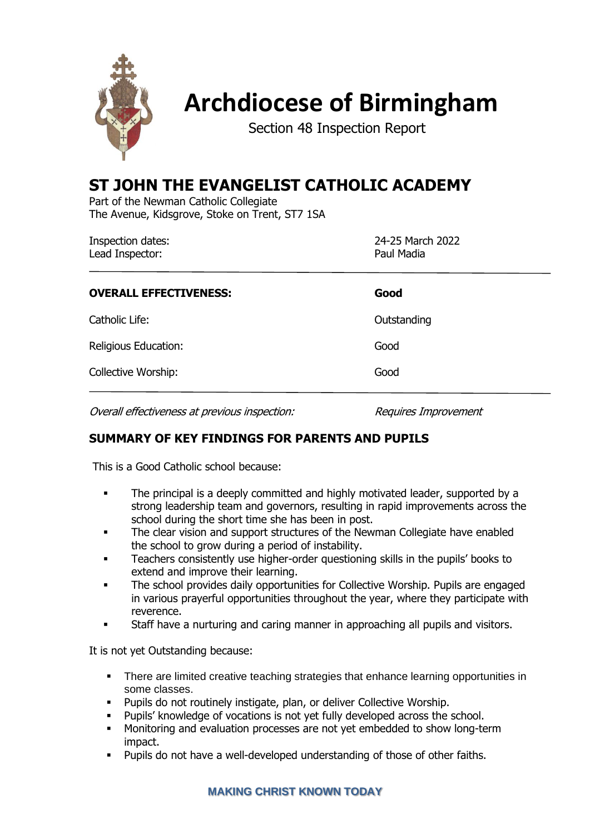

# **Archdiocese of Birmingham**

Section 48 Inspection Report

## **ST JOHN THE EVANGELIST CATHOLIC ACADEMY**

Part of the Newman Catholic Collegiate The Avenue, Kidsgrove, Stoke on Trent, ST7 1SA

| <b>Inspection dates:</b><br>Lead Inspector: | 24-25 March 2022<br>Paul Madia |
|---------------------------------------------|--------------------------------|
| <b>OVERALL EFFECTIVENESS:</b>               | Good                           |
| Catholic Life:                              | Outstanding                    |
| Religious Education:                        | Good                           |
| Collective Worship:                         | Good                           |

Overall effectiveness at previous inspection: Requires Improvement

### **SUMMARY OF KEY FINDINGS FOR PARENTS AND PUPILS**

This is a Good Catholic school because:

- **•** The principal is a deeply committed and highly motivated leader, supported by a strong leadership team and governors, resulting in rapid improvements across the school during the short time she has been in post.
- **•** The clear vision and support structures of the Newman Collegiate have enabled the school to grow during a period of instability.
- **•** Teachers consistently use higher-order questioning skills in the pupils' books to extend and improve their learning.
- The school provides daily opportunities for Collective Worship. Pupils are engaged in various prayerful opportunities throughout the year, where they participate with reverence.
- Staff have a nurturing and caring manner in approaching all pupils and visitors.

It is not yet Outstanding because:

- **•** There are limited creative teaching strategies that enhance learning opportunities in some classes.
- Pupils do not routinely instigate, plan, or deliver Collective Worship.
- Pupils' knowledge of vocations is not yet fully developed across the school.
- **■** Monitoring and evaluation processes are not yet embedded to show long-term impact.
- Pupils do not have a well-developed understanding of those of other faiths.

#### **MAKING CHRIST KNOWN TODAY**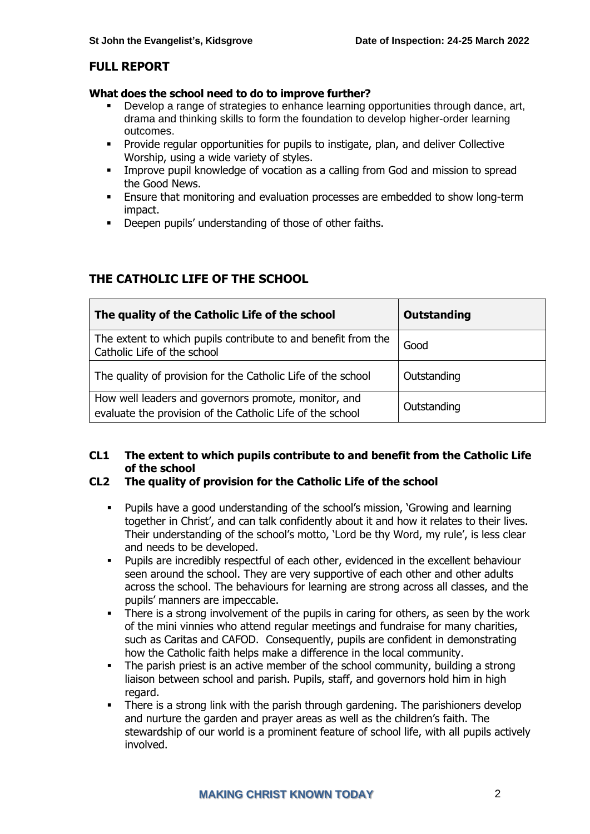#### **FULL REPORT**

#### **What does the school need to do to improve further?**

- Develop a range of strategies to enhance learning opportunities through dance, art, drama and thinking skills to form the foundation to develop higher-order learning outcomes.
- Provide regular opportunities for pupils to instigate, plan, and deliver Collective Worship, using a wide variety of styles.
- **EXEDENT IMPROVE pupil knowledge of vocation as a calling from God and mission to spread** the Good News.
- Ensure that monitoring and evaluation processes are embedded to show long-term impact.
- Deepen pupils' understanding of those of other faiths.

### **THE CATHOLIC LIFE OF THE SCHOOL**

| The quality of the Catholic Life of the school                                                                    | Outstanding |
|-------------------------------------------------------------------------------------------------------------------|-------------|
| The extent to which pupils contribute to and benefit from the<br>Catholic Life of the school                      | Good        |
| The quality of provision for the Catholic Life of the school                                                      | Outstanding |
| How well leaders and governors promote, monitor, and<br>evaluate the provision of the Catholic Life of the school | Outstanding |

#### **CL1 The extent to which pupils contribute to and benefit from the Catholic Life of the school**

#### **CL2 The quality of provision for the Catholic Life of the school**

- Pupils have a good understanding of the school's mission, 'Growing and learning together in Christ', and can talk confidently about it and how it relates to their lives. Their understanding of the school's motto, 'Lord be thy Word, my rule', is less clear and needs to be developed.
- Pupils are incredibly respectful of each other, evidenced in the excellent behaviour seen around the school. They are very supportive of each other and other adults across the school. The behaviours for learning are strong across all classes, and the pupils' manners are impeccable.
- There is a strong involvement of the pupils in caring for others, as seen by the work of the mini vinnies who attend regular meetings and fundraise for many charities, such as Caritas and CAFOD. Consequently, pupils are confident in demonstrating how the Catholic faith helps make a difference in the local community.
- **•** The parish priest is an active member of the school community, building a strong liaison between school and parish. Pupils, staff, and governors hold him in high regard.
- There is a strong link with the parish through gardening. The parishioners develop and nurture the garden and prayer areas as well as the children's faith. The stewardship of our world is a prominent feature of school life, with all pupils actively involved.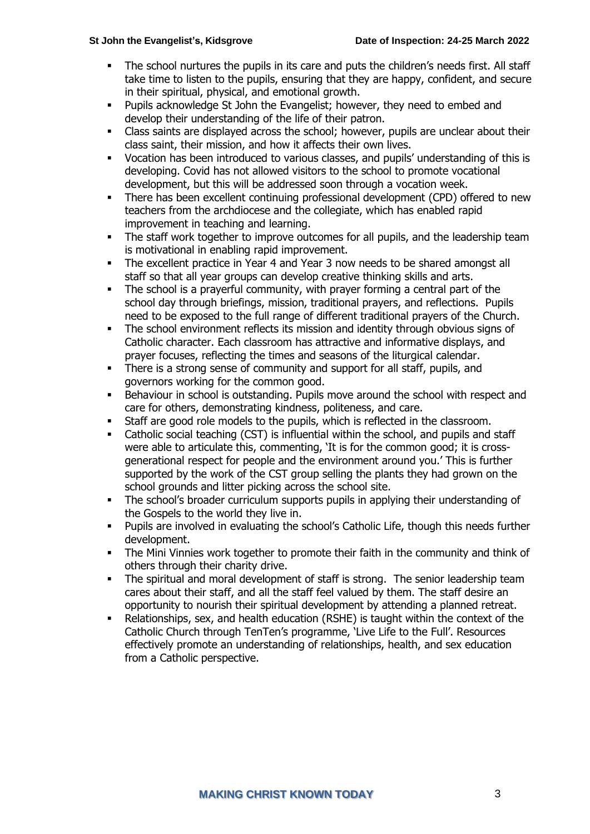- The school nurtures the pupils in its care and puts the children's needs first. All staff take time to listen to the pupils, ensuring that they are happy, confident, and secure in their spiritual, physical, and emotional growth.
- Pupils acknowledge St John the Evangelist; however, they need to embed and develop their understanding of the life of their patron.
- Class saints are displayed across the school; however, pupils are unclear about their class saint, their mission, and how it affects their own lives.
- Vocation has been introduced to various classes, and pupils' understanding of this is developing. Covid has not allowed visitors to the school to promote vocational development, but this will be addressed soon through a vocation week.
- There has been excellent continuing professional development (CPD) offered to new teachers from the archdiocese and the collegiate, which has enabled rapid improvement in teaching and learning.
- **•** The staff work together to improve outcomes for all pupils, and the leadership team is motivational in enabling rapid improvement.
- **•** The excellent practice in Year 4 and Year 3 now needs to be shared amongst all staff so that all year groups can develop creative thinking skills and arts.
- The school is a prayerful community, with prayer forming a central part of the school day through briefings, mission, traditional prayers, and reflections. Pupils need to be exposed to the full range of different traditional prayers of the Church.
- **•** The school environment reflects its mission and identity through obvious signs of Catholic character. Each classroom has attractive and informative displays, and prayer focuses, reflecting the times and seasons of the liturgical calendar.
- **•** There is a strong sense of community and support for all staff, pupils, and governors working for the common good.
- Behaviour in school is outstanding. Pupils move around the school with respect and care for others, demonstrating kindness, politeness, and care.
- Staff are good role models to the pupils, which is reflected in the classroom.
- Catholic social teaching (CST) is influential within the school, and pupils and staff were able to articulate this, commenting, 'It is for the common good; it is crossgenerational respect for people and the environment around you.' This is further supported by the work of the CST group selling the plants they had grown on the school grounds and litter picking across the school site.
- The school's broader curriculum supports pupils in applying their understanding of the Gospels to the world they live in.
- Pupils are involved in evaluating the school's Catholic Life, though this needs further development.
- The Mini Vinnies work together to promote their faith in the community and think of others through their charity drive.
- **•** The spiritual and moral development of staff is strong. The senior leadership team cares about their staff, and all the staff feel valued by them. The staff desire an opportunity to nourish their spiritual development by attending a planned retreat.
- Relationships, sex, and health education (RSHE) is taught within the context of the Catholic Church through TenTen's programme, 'Live Life to the Full'. Resources effectively promote an understanding of relationships, health, and sex education from a Catholic perspective.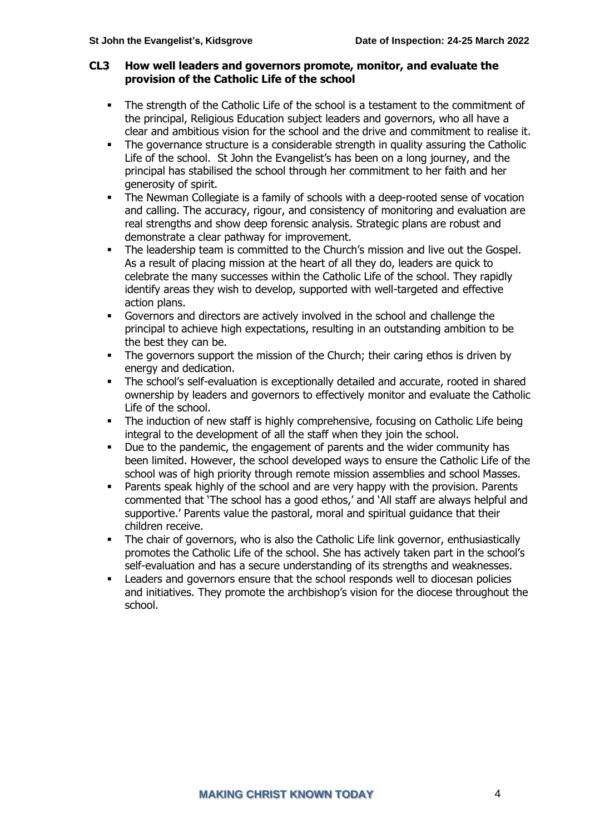#### **CL3 How well leaders and governors promote, monitor, and evaluate the provision of the Catholic Life of the school**

- The strength of the Catholic Life of the school is a testament to the commitment of the principal, Religious Education subject leaders and governors, who all have a clear and ambitious vision for the school and the drive and commitment to realise it.
- The governance structure is a considerable strength in quality assuring the Catholic Life of the school. St John the Evangelist's has been on a long journey, and the principal has stabilised the school through her commitment to her faith and her generosity of spirit.
- The Newman Collegiate is a family of schools with a deep-rooted sense of vocation and calling. The accuracy, rigour, and consistency of monitoring and evaluation are real strengths and show deep forensic analysis. Strategic plans are robust and demonstrate a clear pathway for improvement.
- The leadership team is committed to the Church's mission and live out the Gospel. As a result of placing mission at the heart of all they do, leaders are quick to celebrate the many successes within the Catholic Life of the school. They rapidly identify areas they wish to develop, supported with well-targeted and effective action plans.
- Governors and directors are actively involved in the school and challenge the principal to achieve high expectations, resulting in an outstanding ambition to be the best they can be.
- The governors support the mission of the Church; their caring ethos is driven by energy and dedication.
- The school's self-evaluation is exceptionally detailed and accurate, rooted in shared ownership by leaders and governors to effectively monitor and evaluate the Catholic Life of the school.
- **•** The induction of new staff is highly comprehensive, focusing on Catholic Life being integral to the development of all the staff when they join the school.
- Due to the pandemic, the engagement of parents and the wider community has been limited. However, the school developed ways to ensure the Catholic Life of the school was of high priority through remote mission assemblies and school Masses.
- Parents speak highly of the school and are very happy with the provision. Parents commented that 'The school has a good ethos,' and 'All staff are always helpful and supportive.' Parents value the pastoral, moral and spiritual guidance that their children receive.
- The chair of governors, who is also the Catholic Life link governor, enthusiastically promotes the Catholic Life of the school. She has actively taken part in the school's self-evaluation and has a secure understanding of its strengths and weaknesses.
- **EXECTE 20 FEE ADDER** Leaders and governors ensure that the school responds well to diocesan policies and initiatives. They promote the archbishop's vision for the diocese throughout the school.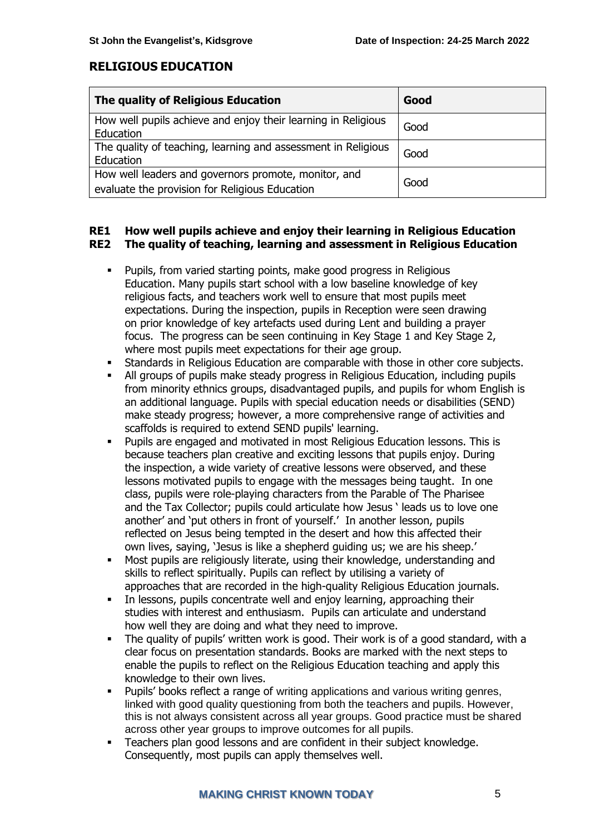#### **RELIGIOUS EDUCATION**

| The quality of Religious Education                                                                     | Good |
|--------------------------------------------------------------------------------------------------------|------|
| How well pupils achieve and enjoy their learning in Religious<br>Education                             | Good |
| The quality of teaching, learning and assessment in Religious<br>Education                             | Good |
| How well leaders and governors promote, monitor, and<br>evaluate the provision for Religious Education | Good |

#### **RE1 How well pupils achieve and enjoy their learning in Religious Education RE2 The quality of teaching, learning and assessment in Religious Education**

- Pupils, from varied starting points, make good progress in Religious Education. Many pupils start school with a low baseline knowledge of key religious facts, and teachers work well to ensure that most pupils meet expectations. During the inspection, pupils in Reception were seen drawing on prior knowledge of key artefacts used during Lent and building a prayer focus. The progress can be seen continuing in Key Stage 1 and Key Stage 2, where most pupils meet expectations for their age group.
- Standards in Religious Education are comparable with those in other core subjects.
- All groups of pupils make steady progress in Religious Education, including pupils from minority ethnics groups, disadvantaged pupils, and pupils for whom English is an additional language. Pupils with special education needs or disabilities (SEND) make steady progress; however, a more comprehensive range of activities and scaffolds is required to extend SEND pupils' learning.
- Pupils are engaged and motivated in most Religious Education lessons. This is because teachers plan creative and exciting lessons that pupils enjoy. During the inspection, a wide variety of creative lessons were observed, and these lessons motivated pupils to engage with the messages being taught. In one class, pupils were role-playing characters from the Parable of The Pharisee and the Tax Collector; pupils could articulate how Jesus ' leads us to love one another' and 'put others in front of yourself.' In another lesson, pupils reflected on Jesus being tempted in the desert and how this affected their own lives, saying, 'Jesus is like a shepherd guiding us; we are his sheep.'
- Most pupils are religiously literate, using their knowledge, understanding and skills to reflect spiritually. Pupils can reflect by utilising a variety of approaches that are recorded in the high-quality Religious Education journals.
- **•** In lessons, pupils concentrate well and enjoy learning, approaching their studies with interest and enthusiasm. Pupils can articulate and understand how well they are doing and what they need to improve.
- The quality of pupils' written work is good. Their work is of a good standard, with a clear focus on presentation standards. Books are marked with the next steps to enable the pupils to reflect on the Religious Education teaching and apply this knowledge to their own lives.
- Pupils' books reflect a range of writing applications and various writing genres, linked with good quality questioning from both the teachers and pupils. However, this is not always consistent across all year groups. Good practice must be shared across other year groups to improve outcomes for all pupils.
- Teachers plan good lessons and are confident in their subject knowledge. Consequently, most pupils can apply themselves well.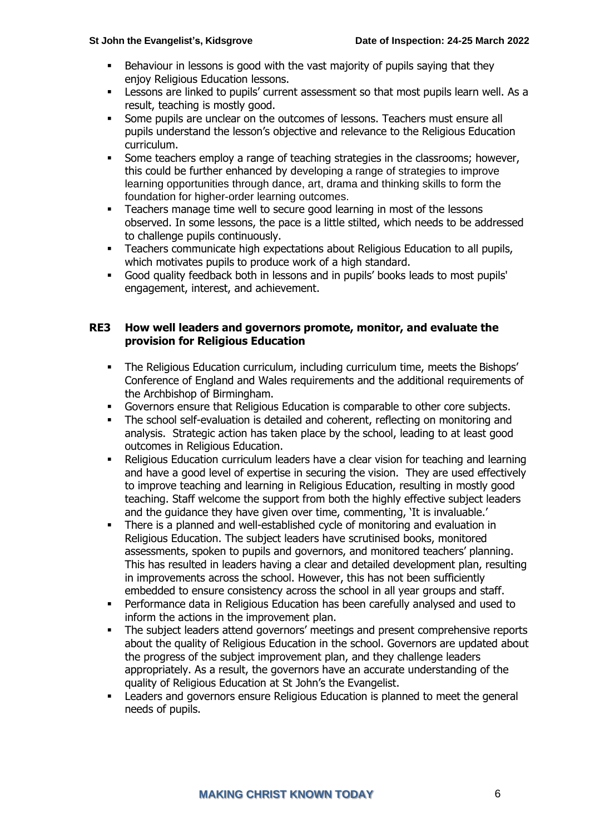- Behaviour in lessons is good with the vast majority of pupils saying that they enjoy Religious Education lessons.
- **EXECTS** Lessons are linked to pupils' current assessment so that most pupils learn well. As a result, teaching is mostly good.
- **•** Some pupils are unclear on the outcomes of lessons. Teachers must ensure all pupils understand the lesson's objective and relevance to the Religious Education curriculum.
- **•** Some teachers employ a range of teaching strategies in the classrooms; however, this could be further enhanced by developing a range of strategies to improve learning opportunities through dance, art, drama and thinking skills to form the foundation for higher-order learning outcomes.
- **EXECTE:** Teachers manage time well to secure good learning in most of the lessons observed. In some lessons, the pace is a little stilted, which needs to be addressed to challenge pupils continuously.
- **•** Teachers communicate high expectations about Religious Education to all pupils, which motivates pupils to produce work of a high standard.
- Good quality feedback both in lessons and in pupils' books leads to most pupils' engagement, interest, and achievement.

#### **RE3 How well leaders and governors promote, monitor, and evaluate the provision for Religious Education**

- The Religious Education curriculum, including curriculum time, meets the Bishops' Conference of England and Wales requirements and the additional requirements of the Archbishop of Birmingham.
- Governors ensure that Religious Education is comparable to other core subjects.
- The school self-evaluation is detailed and coherent, reflecting on monitoring and analysis. Strategic action has taken place by the school, leading to at least good outcomes in Religious Education.
- Religious Education curriculum leaders have a clear vision for teaching and learning and have a good level of expertise in securing the vision. They are used effectively to improve teaching and learning in Religious Education, resulting in mostly good teaching. Staff welcome the support from both the highly effective subject leaders and the guidance they have given over time, commenting, 'It is invaluable.'
- **•** There is a planned and well-established cycle of monitoring and evaluation in Religious Education. The subject leaders have scrutinised books, monitored assessments, spoken to pupils and governors, and monitored teachers' planning. This has resulted in leaders having a clear and detailed development plan, resulting in improvements across the school. However, this has not been sufficiently embedded to ensure consistency across the school in all year groups and staff.
- Performance data in Religious Education has been carefully analysed and used to inform the actions in the improvement plan.
- The subject leaders attend governors' meetings and present comprehensive reports about the quality of Religious Education in the school. Governors are updated about the progress of the subject improvement plan, and they challenge leaders appropriately. As a result, the governors have an accurate understanding of the quality of Religious Education at St John's the Evangelist.
- Leaders and governors ensure Religious Education is planned to meet the general needs of pupils.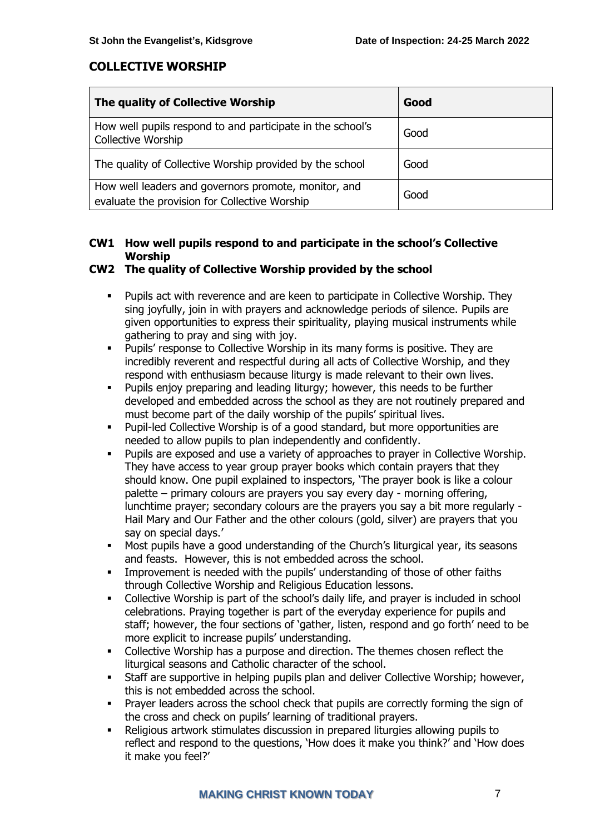#### **COLLECTIVE WORSHIP**

| The quality of Collective Worship                                                                     | Good |
|-------------------------------------------------------------------------------------------------------|------|
| How well pupils respond to and participate in the school's<br><b>Collective Worship</b>               | Good |
| The quality of Collective Worship provided by the school                                              | Good |
| How well leaders and governors promote, monitor, and<br>evaluate the provision for Collective Worship | Good |

#### **CW1 How well pupils respond to and participate in the school's Collective Worship**

#### **CW2 The quality of Collective Worship provided by the school**

- Pupils act with reverence and are keen to participate in Collective Worship. They sing joyfully, join in with prayers and acknowledge periods of silence. Pupils are given opportunities to express their spirituality, playing musical instruments while gathering to pray and sing with joy.
- Pupils' response to Collective Worship in its many forms is positive. They are incredibly reverent and respectful during all acts of Collective Worship, and they respond with enthusiasm because liturgy is made relevant to their own lives.
- Pupils enjoy preparing and leading liturgy; however, this needs to be further developed and embedded across the school as they are not routinely prepared and must become part of the daily worship of the pupils' spiritual lives.
- Pupil-led Collective Worship is of a good standard, but more opportunities are needed to allow pupils to plan independently and confidently.
- Pupils are exposed and use a variety of approaches to prayer in Collective Worship. They have access to year group prayer books which contain prayers that they should know. One pupil explained to inspectors, 'The prayer book is like a colour palette – primary colours are prayers you say every day - morning offering, lunchtime prayer; secondary colours are the prayers you say a bit more regularly - Hail Mary and Our Father and the other colours (gold, silver) are prayers that you say on special days.'
- Most pupils have a good understanding of the Church's liturgical year, its seasons and feasts. However, this is not embedded across the school.
- **■** Improvement is needed with the pupils' understanding of those of other faiths through Collective Worship and Religious Education lessons.
- Collective Worship is part of the school's daily life, and prayer is included in school celebrations. Praying together is part of the everyday experience for pupils and staff; however, the four sections of 'gather, listen, respond and go forth' need to be more explicit to increase pupils' understanding.
- Collective Worship has a purpose and direction. The themes chosen reflect the liturgical seasons and Catholic character of the school.
- Staff are supportive in helping pupils plan and deliver Collective Worship; however, this is not embedded across the school.
- Prayer leaders across the school check that pupils are correctly forming the sign of the cross and check on pupils' learning of traditional prayers.
- Religious artwork stimulates discussion in prepared liturgies allowing pupils to reflect and respond to the questions, 'How does it make you think?' and 'How does it make you feel?'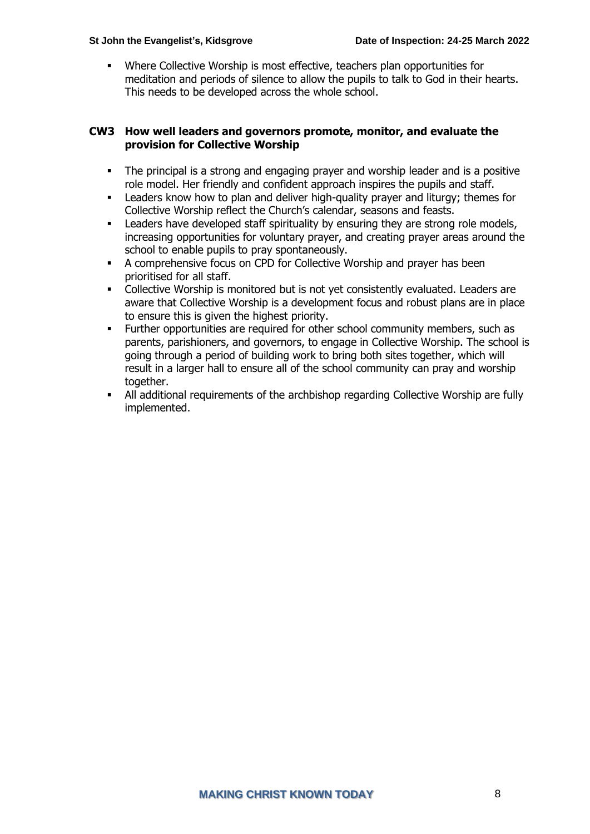Where Collective Worship is most effective, teachers plan opportunities for meditation and periods of silence to allow the pupils to talk to God in their hearts. This needs to be developed across the whole school.

#### **CW3 How well leaders and governors promote, monitor, and evaluate the provision for Collective Worship**

- The principal is a strong and engaging prayer and worship leader and is a positive role model. Her friendly and confident approach inspires the pupils and staff.
- Leaders know how to plan and deliver high-quality prayer and liturgy; themes for Collective Worship reflect the Church's calendar, seasons and feasts.
- **EXECTED FIREY EXECTED FIREY IS A LEADER SHOW FIREY STARK:** Leaders have developed staff spirituality by ensuring they are strong role models, increasing opportunities for voluntary prayer, and creating prayer areas around the school to enable pupils to pray spontaneously.
- A comprehensive focus on CPD for Collective Worship and prayer has been prioritised for all staff.
- Collective Worship is monitored but is not yet consistently evaluated. Leaders are aware that Collective Worship is a development focus and robust plans are in place to ensure this is given the highest priority.
- Further opportunities are required for other school community members, such as parents, parishioners, and governors, to engage in Collective Worship. The school is going through a period of building work to bring both sites together, which will result in a larger hall to ensure all of the school community can pray and worship together.
- All additional requirements of the archbishop regarding Collective Worship are fully implemented.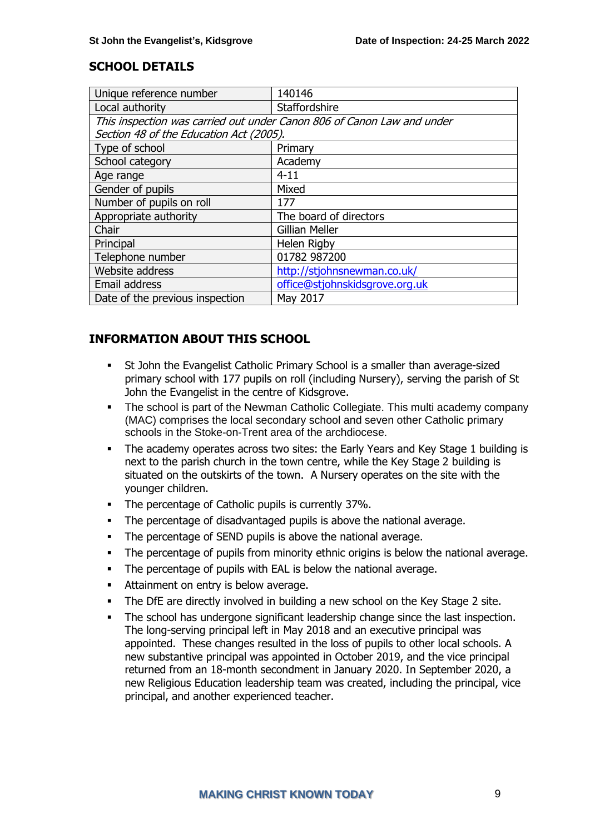#### **SCHOOL DETAILS**

| Unique reference number                                                | 140146                         |  |
|------------------------------------------------------------------------|--------------------------------|--|
| Local authority                                                        | Staffordshire                  |  |
| This inspection was carried out under Canon 806 of Canon Law and under |                                |  |
| Section 48 of the Education Act (2005).                                |                                |  |
| Type of school                                                         | Primary                        |  |
| School category                                                        | Academy                        |  |
| Age range                                                              | $4 - 11$                       |  |
| Gender of pupils                                                       | Mixed                          |  |
| Number of pupils on roll                                               | 177                            |  |
| Appropriate authority                                                  | The board of directors         |  |
| Chair                                                                  | <b>Gillian Meller</b>          |  |
| Principal                                                              | Helen Rigby                    |  |
| Telephone number                                                       | 01782 987200                   |  |
| Website address                                                        | http://stjohnsnewman.co.uk/    |  |
| Email address                                                          | office@stjohnskidsgrove.org.uk |  |
| Date of the previous inspection                                        | May 2017                       |  |

### **INFORMATION ABOUT THIS SCHOOL**

- St John the Evangelist Catholic Primary School is a smaller than average-sized primary school with 177 pupils on roll (including Nursery), serving the parish of St John the Evangelist in the centre of Kidsgrove.
- The school is part of the Newman Catholic Collegiate. This multi academy company (MAC) comprises the local secondary school and seven other Catholic primary schools in the Stoke-on-Trent area of the archdiocese.
- The academy operates across two sites: the Early Years and Key Stage 1 building is next to the parish church in the town centre, while the Key Stage 2 building is situated on the outskirts of the town. A Nursery operates on the site with the younger children.
- The percentage of Catholic pupils is currently 37%.
- The percentage of disadvantaged pupils is above the national average.
- The percentage of SEND pupils is above the national average.
- The percentage of pupils from minority ethnic origins is below the national average.
- The percentage of pupils with EAL is below the national average.
- Attainment on entry is below average.
- The DfE are directly involved in building a new school on the Key Stage 2 site.
- **•** The school has undergone significant leadership change since the last inspection. The long-serving principal left in May 2018 and an executive principal was appointed. These changes resulted in the loss of pupils to other local schools. A new substantive principal was appointed in October 2019, and the vice principal returned from an 18-month secondment in January 2020. In September 2020, a new Religious Education leadership team was created, including the principal, vice principal, and another experienced teacher.